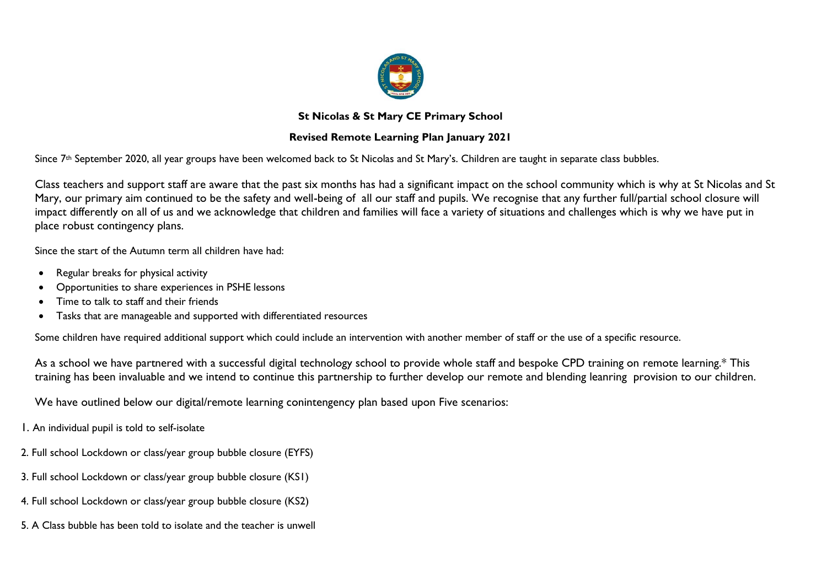

### **St Nicolas & St Mary CE Primary School**

## **Revised Remote Learning Plan January 2021**

Since 7<sup>th</sup> September 2020, all year groups have been welcomed back to St Nicolas and St Mary's. Children are taught in separate class bubbles.

Class teachers and support staff are aware that the past six months has had a significant impact on the school community which is why at St Nicolas and St Mary, our primary aim continued to be the safety and well-being of all our staff and pupils. We recognise that any further full/partial school closure will impact differently on all of us and we acknowledge that children and families will face a variety of situations and challenges which is why we have put in place robust contingency plans.

Since the start of the Autumn term all children have had:

- Regular breaks for physical activity
- Opportunities to share experiences in PSHE lessons
- Time to talk to staff and their friends
- Tasks that are manageable and supported with differentiated resources

Some children have required additional support which could include an intervention with another member of staff or the use of a specific resource.

As a school we have partnered with a successful digital technology school to provide whole staff and bespoke CPD training on remote learning.\* This training has been invaluable and we intend to continue this partnership to further develop our remote and blending leanring provision to our children.

We have outlined below our digital/remote learning conintengency plan based upon Five scenarios:

1. An individual pupil is told to self-isolate

- 2. Full school Lockdown or class/year group bubble closure (EYFS)
- 3. Full school Lockdown or class/year group bubble closure (KS1)
- 4. Full school Lockdown or class/year group bubble closure (KS2)
- 5. A Class bubble has been told to isolate and the teacher is unwell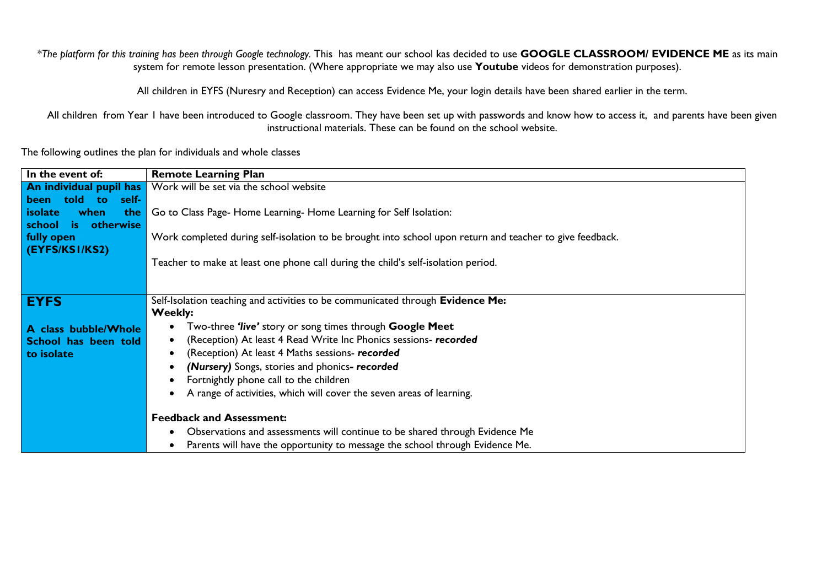*\*The platform for this training has been through Google technology.* This has meant our school kas decided to use **GOOGLE CLASSROOM/ EVIDENCE ME** as its main system for remote lesson presentation. (Where appropriate we may also use **Youtube** videos for demonstration purposes).

All children in EYFS (Nuresry and Reception) can access Evidence Me, your login details have been shared earlier in the term.

All children from Year I have been introduced to Google classroom. They have been set up with passwords and know how to access it, and parents have been given instructional materials. These can be found on the school website.

The following outlines the plan for individuals and whole classes

| In the event of:              | <b>Remote Learning Plan</b>                                                                              |
|-------------------------------|----------------------------------------------------------------------------------------------------------|
| An individual pupil has       | Work will be set via the school website                                                                  |
| told to<br>been<br>self-      |                                                                                                          |
| when<br>the<br><i>isolate</i> | Go to Class Page-Home Learning-Home Learning for Self Isolation:                                         |
| otherwise<br>school is        |                                                                                                          |
| fully open<br>(EYFS/KS1/KS2)  | Work completed during self-isolation to be brought into school upon return and teacher to give feedback. |
|                               | Teacher to make at least one phone call during the child's self-isolation period.                        |
|                               |                                                                                                          |
|                               |                                                                                                          |
| <b>EYFS</b>                   | Self-Isolation teaching and activities to be communicated through Evidence Me:                           |
|                               | Weekly:                                                                                                  |
| A class bubble/Whole          | Two-three 'live' story or song times through Google Meet                                                 |
| School has been told          | (Reception) At least 4 Read Write Inc Phonics sessions- recorded<br>$\bullet$                            |
| to isolate                    | (Reception) At least 4 Maths sessions- recorded<br>$\bullet$                                             |
|                               | (Nursery) Songs, stories and phonics- recorded<br>٠                                                      |
|                               | Fortnightly phone call to the children                                                                   |
|                               | A range of activities, which will cover the seven areas of learning.                                     |
|                               |                                                                                                          |
|                               | <b>Feedback and Assessment:</b>                                                                          |
|                               | Observations and assessments will continue to be shared through Evidence Me<br>$\bullet$                 |
|                               | Parents will have the opportunity to message the school through Evidence Me.<br>٠                        |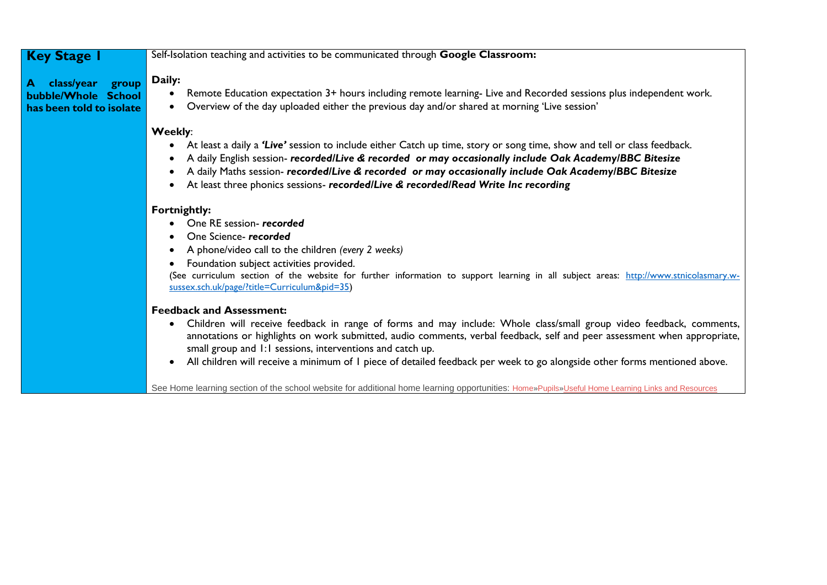## **Key Stage 1**

**A class/year group bubble/Whole School has been told to isolate** 

Self-Isolation teaching and activities to be communicated through **Google Classroom:**

## **Daily:**

- Remote Education expectation 3+ hours including remote learning- Live and Recorded sessions plus independent work.
- Overview of the day uploaded either the previous day and/or shared at morning 'Live session'

#### **Weekly**:

- At least a daily a *'Live'* session to include either Catch up time, story or song time, show and tell or class feedback.
- A daily English session- *recorded/Live & recorded or may occasionally include Oak Academy/BBC Bitesize*
- A daily Maths session- *recorded/Live & recorded or may occasionally include Oak Academy/BBC Bitesize*
- At least three phonics sessions- *recorded/Live & recorded/Read Write Inc recording*

#### **Fortnightly:**

- One RE session- *recorded*
- One Science- *recorded*
- A phone/video call to the children *(every 2 weeks)*
- Foundation subject activities provided.

(See curriculum section of the website for further information to support learning in all subject areas: [http://www.stnicolasmary.w](http://www.stnicolasmary.w-sussex.sch.uk/page/?title=Curriculum&pid=35)[sussex.sch.uk/page/?title=Curriculum&pid=35\)](http://www.stnicolasmary.w-sussex.sch.uk/page/?title=Curriculum&pid=35)

#### **Feedback and Assessment:**

- Children will receive feedback in range of forms and may include: Whole class/small group video feedback, comments, annotations or highlights on work submitted, audio comments, verbal feedback, self and peer assessment when appropriate, small group and 1:1 sessions, interventions and catch up.
- All children will receive a minimum of 1 piece of detailed feedback per week to go alongside other forms mentioned above.

See Home learning section of the school website for additional home learning opportunities: [Home](http://www.stnicolasmary.w-sussex.sch.uk/)[»Pupils](http://www.stnicolasmary.w-sussex.sch.uk/page/?title=Pupils&pid=9)[»Useful Home Learning Links and Resources](http://www.stnicolasmary.w-sussex.sch.uk/page/?title=Useful+Home+Learning+Links+and+Resources&pid=1415)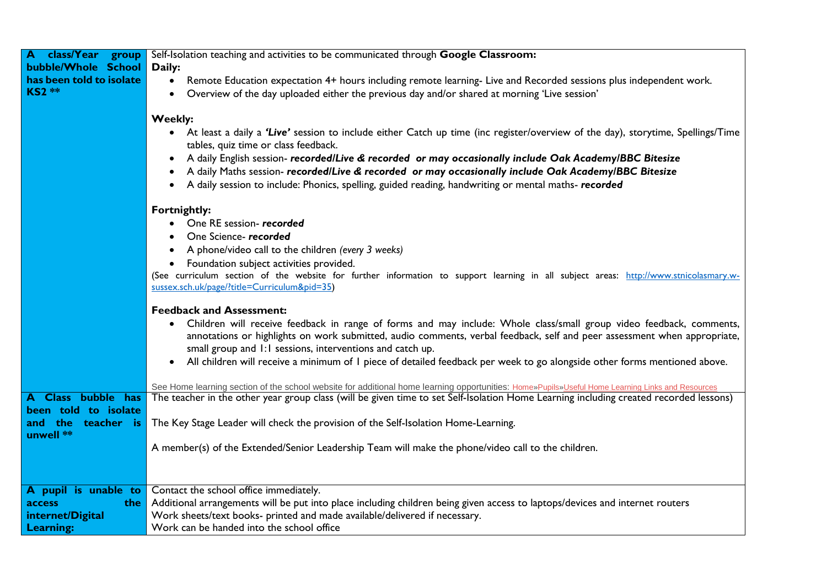| class/Year<br>group      | Self-Isolation teaching and activities to be communicated through Google Classroom:                                                                                                                                                                          |
|--------------------------|--------------------------------------------------------------------------------------------------------------------------------------------------------------------------------------------------------------------------------------------------------------|
| bubble/Whole School      | Daily:                                                                                                                                                                                                                                                       |
| has been told to isolate | Remote Education expectation 4+ hours including remote learning- Live and Recorded sessions plus independent work.<br>$\bullet$                                                                                                                              |
| <b>KS2 **</b>            | Overview of the day uploaded either the previous day and/or shared at morning 'Live session'<br>$\bullet$                                                                                                                                                    |
|                          |                                                                                                                                                                                                                                                              |
|                          | <b>Weekly:</b>                                                                                                                                                                                                                                               |
|                          | At least a daily a 'Live' session to include either Catch up time (inc register/overview of the day), storytime, Spellings/Time<br>$\bullet$<br>tables, quiz time or class feedback.                                                                         |
|                          | A daily English session- recorded/Live & recorded or may occasionally include Oak Academy/BBC Bitesize<br>$\bullet$                                                                                                                                          |
|                          | A daily Maths session- recorded/Live & recorded or may occasionally include Oak Academy/BBC Bitesize                                                                                                                                                         |
|                          | A daily session to include: Phonics, spelling, guided reading, handwriting or mental maths-recorded<br>$\bullet$                                                                                                                                             |
|                          |                                                                                                                                                                                                                                                              |
|                          | Fortnightly:                                                                                                                                                                                                                                                 |
|                          | One RE session-recorded                                                                                                                                                                                                                                      |
|                          | One Science-recorded                                                                                                                                                                                                                                         |
|                          | A phone/video call to the children (every 3 weeks)                                                                                                                                                                                                           |
|                          | Foundation subject activities provided.                                                                                                                                                                                                                      |
|                          | (See curriculum section of the website for further information to support learning in all subject areas: http://www.stnicolasmary.w-                                                                                                                         |
|                          | sussex.sch.uk/page/?title=Curriculum&pid=35)                                                                                                                                                                                                                 |
|                          | <b>Feedback and Assessment:</b>                                                                                                                                                                                                                              |
|                          |                                                                                                                                                                                                                                                              |
|                          | Children will receive feedback in range of forms and may include: Whole class/small group video feedback, comments,<br>$\bullet$<br>annotations or highlights on work submitted, audio comments, verbal feedback, self and peer assessment when appropriate, |
|                          | small group and 1:1 sessions, interventions and catch up.                                                                                                                                                                                                    |
|                          | All children will receive a minimum of I piece of detailed feedback per week to go alongside other forms mentioned above.<br>$\bullet$                                                                                                                       |
|                          |                                                                                                                                                                                                                                                              |
|                          | See Home learning section of the school website for additional home learning opportunities: Home»Pupils»Useful Home Learning Links and Resources                                                                                                             |
| A Class bubble has       | The teacher in the other year group class (will be given time to set Self-Isolation Home Learning including created recorded lessons)                                                                                                                        |
| been told to isolate     |                                                                                                                                                                                                                                                              |
| and the<br>teacher is    | The Key Stage Leader will check the provision of the Self-Isolation Home-Learning.                                                                                                                                                                           |
| unwell **                |                                                                                                                                                                                                                                                              |
|                          | A member(s) of the Extended/Senior Leadership Team will make the phone/video call to the children.                                                                                                                                                           |
|                          |                                                                                                                                                                                                                                                              |
|                          |                                                                                                                                                                                                                                                              |
| A pupil is unable to     | Contact the school office immediately.                                                                                                                                                                                                                       |
| access<br>the            | Additional arrangements will be put into place including children being given access to laptops/devices and internet routers                                                                                                                                 |
| internet/Digital         | Work sheets/text books- printed and made available/delivered if necessary.                                                                                                                                                                                   |
| Learning:                | Work can be handed into the school office                                                                                                                                                                                                                    |